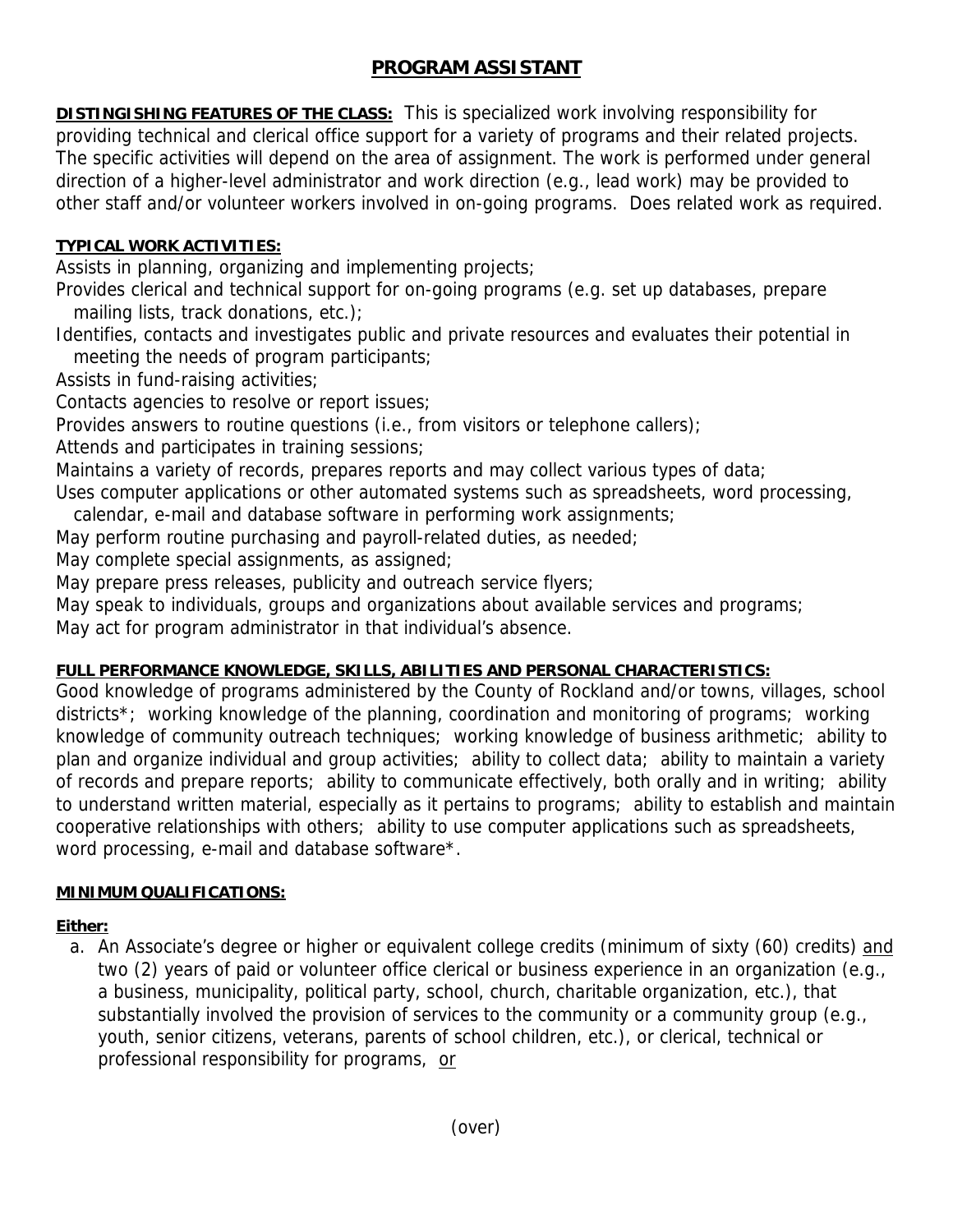# **PROGRAM ASSISTANT**

**DISTINGISHING FEATURES OF THE CLASS:** This is specialized work involving responsibility for providing technical and clerical office support for a variety of programs and their related projects. The specific activities will depend on the area of assignment. The work is performed under general direction of a higher-level administrator and work direction (e.g., lead work) may be provided to other staff and/or volunteer workers involved in on-going programs. Does related work as required.

### **TYPICAL WORK ACTIVITIES:**

Assists in planning, organizing and implementing projects;

Provides clerical and technical support for on-going programs (e.g. set up databases, prepare mailing lists, track donations, etc.);

Identifies, contacts and investigates public and private resources and evaluates their potential in meeting the needs of program participants;

Assists in fund-raising activities;

Contacts agencies to resolve or report issues;

Provides answers to routine questions (i.e., from visitors or telephone callers);

Attends and participates in training sessions;

Maintains a variety of records, prepares reports and may collect various types of data;

Uses computer applications or other automated systems such as spreadsheets, word processing,

calendar, e-mail and database software in performing work assignments;

May perform routine purchasing and payroll-related duties, as needed;

May complete special assignments, as assigned;

May prepare press releases, publicity and outreach service flyers;

May speak to individuals, groups and organizations about available services and programs;

May act for program administrator in that individual's absence.

# **FULL PERFORMANCE KNOWLEDGE, SKILLS, ABILITIES AND PERSONAL CHARACTERISTICS:**

Good knowledge of programs administered by the County of Rockland and/or towns, villages, school districts\*; working knowledge of the planning, coordination and monitoring of programs; working knowledge of community outreach techniques; working knowledge of business arithmetic; ability to plan and organize individual and group activities; ability to collect data; ability to maintain a variety of records and prepare reports; ability to communicate effectively, both orally and in writing; ability to understand written material, especially as it pertains to programs; ability to establish and maintain cooperative relationships with others; ability to use computer applications such as spreadsheets, word processing, e-mail and database software\*.

# **MINIMUM QUALIFICATIONS:**

# **Either:**

a. An Associate's degree or higher or equivalent college credits (minimum of sixty (60) credits) and two (2) years of paid or volunteer office clerical or business experience in an organization (e.g., a business, municipality, political party, school, church, charitable organization, etc.), that substantially involved the provision of services to the community or a community group (e.g., youth, senior citizens, veterans, parents of school children, etc.), or clerical, technical or professional responsibility for programs, or